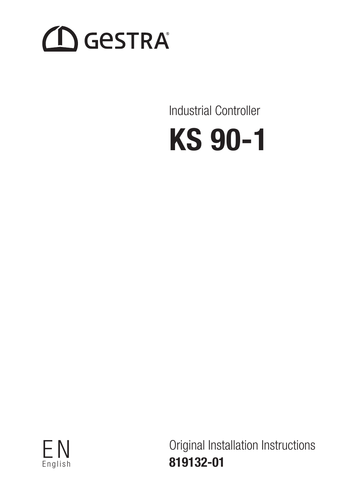# **CO** GESTRA

Industrial Controller





Original Installation Instructions 819132-01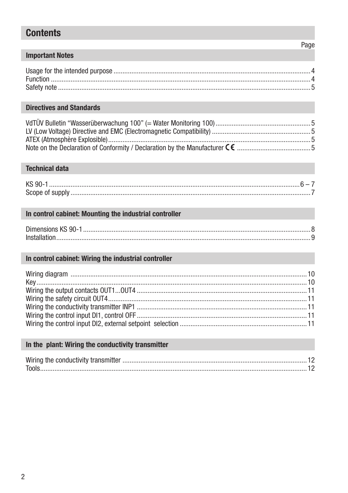# **Contents**

#### **Important Notes**

#### **Directives and Standards**

#### **Technical data**

| KS 90- |  |
|--------|--|
|        |  |

#### In control cabinet: Mounting the industrial controller

| Dimensions KS 90-1 |  |
|--------------------|--|
|                    |  |

#### In control cabinet: Wiring the industrial controller

#### In the plant: Wiring the conductivity transmitter

Page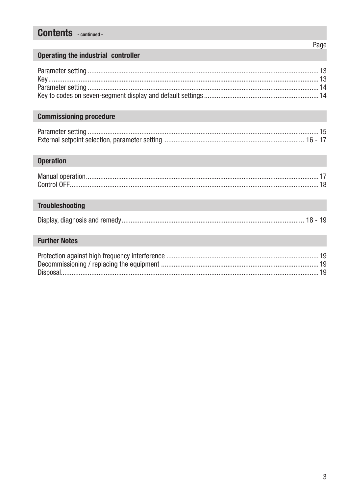# **Contents** - continued -

#### Operating the industrial controller

#### **Commissioning procedure**

#### **Operation**

| $\textbf{Control OFF} \textcolor{red}{\textbf{OPT} \textbf{1} } \textbf{1} \textbf{0}$ |  |
|----------------------------------------------------------------------------------------|--|

## **Troubleshooting**

|--|--|--|--|--|--|

#### **Further Notes**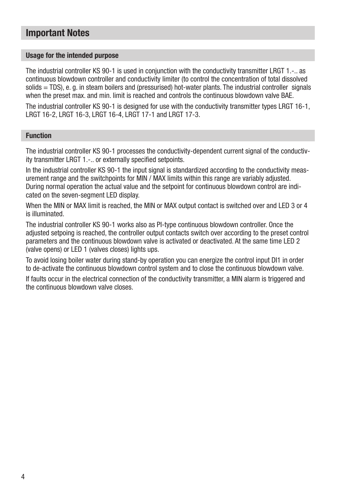# Important Notes

#### Usage for the intended purpose

The industrial controller KS 90-1 is used in conjunction with the conductivity transmitter LRGT 1.-.. as continuous blowdown controller and conductivity limiter (to control the concentration of total dissolved solids = TDS), e. g. in steam boilers and (pressurised) hot-water plants. The industrial controller signals when the preset max, and min. limit is reached and controls the continuous blowdown valve BAE.

The industrial controller KS 90-1 is designed for use with the conductivity transmitter types LRGT 16-1, LRGT 16-2, LRGT 16-3, LRGT 16-4, LRGT 17-1 and LRGT 17-3.

#### Function

The industrial controller KS 90-1 processes the conductivity-dependent current signal of the conductivity transmitter LRGT 1.-.. or externally specified setpoints.

In the industrial controller KS 90-1 the input signal is standardized according to the conductivity measurement range and the switchpoints for MIN / MAX limits within this range are variably adjusted. During normal operation the actual value and the setpoint for continuous blowdown control are indicated on the seven-segment LED display.

When the MIN or MAX limit is reached, the MIN or MAX output contact is switched over and LED 3 or 4 is illuminated.

The industrial controller KS 90-1 works also as PI-type continuous blowdown controller. Once the adjusted setpoing is reached, the controller output contacts switch over according to the preset control parameters and the continuous blowdown valve is activated or deactivated. At the same time LED 2 (valve opens) or LED 1 (valves closes) lights ups.

To avoid losing boiler water during stand-by operation you can energize the control input DI1 in order to de-activate the continuous blowdown control system and to close the continuous blowdown valve.

If faults occur in the electrical connection of the conductivity transmitter, a MIN alarm is triggered and the continuous blowdown valve closes.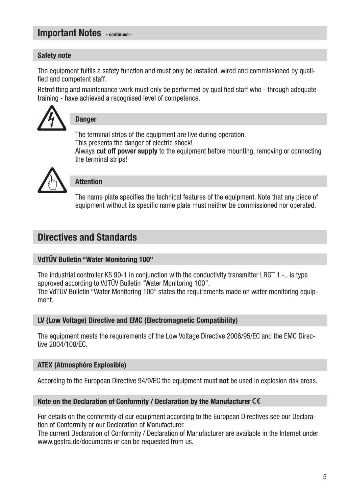# Important Notes - continued -

#### Safety note

The equipment fulfils a safety function and must only be installed, wired and commissioned by qualified and competent staff.

Retrofitting and maintenance work must only be performed by qualified staff who - through adequate training - have achieved a recognised level of competence.



### **Danger**

The terminal strips of the equipment are live during operation. This presents the danger of electric shock!

Always cut off power supply to the equipment before mounting, removing or connecting the terminal strips!



### Attention

The name plate specifies the technical features of the equipment. Note that any piece of equipment without its specific name plate must neither be commissioned nor operated.

# Directives and Standards

#### VdTÜV Bulletin "Water Monitoring 100"

The industrial controller KS 90-1 in conjunction with the conductivity transmitter LRGT 1.-.. is type approved according to VdTÜV Bulletin "Water Monitoring 100".

The VdTÜV Bulletin "Water Monitoring 100" states the requirements made on water monitoring equipment.

#### LV (Low Voltage) Directive and EMC (Electromagnetic Compatibility)

The equipment meets the requirements of the Low Voltage Directive 2006/95/EC and the EMC Directive 2004/108/EC.

#### ATEX (Atmosphère Explosible)

According to the European Directive 94/9/EC the equipment must not be used in explosion risk areas.

#### Note on the Declaration of Conformity / Declaration by the Manufacturer CE

For details on the conformity of our equipment according to the European Directives see our Declaration of Conformity or our Declaration of Manufacturer.

The current Declaration of Conformity / Declaration of Manufacturer are available in the Internet under www.gestra.de/documents or can be requested from us.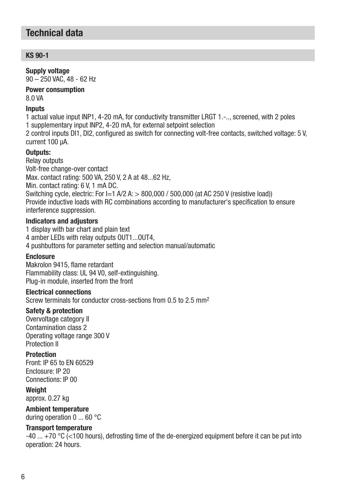# Technical data

#### $KS$  90-1

#### Supply voltage

90 – 250 VAC, 48 - 62 Hz

#### Power consumption 8.0 VA

#### **Inputs**

1 actual value input INP1, 4-20 mA, for conductivity transmitter LRGT 1.-.., screened, with 2 poles 1 supplementary input INP2, 4-20 mA, for external setpoint selection 2 control inputs DI1, DI2, configured as switch for connecting volt-free contacts, switched voltage: 5 V, current 100 μA.

#### Outputs:

Relay outputs Volt-free change-over contact Max. contact rating: 500 VA, 250 V, 2 A at 48...62 Hz, Min. contact rating: 6 V, 1 mA DC. Switching cycle, electric: For  $I=1$  A/2 A:  $>$  800,000 / 500,000 (at AC 250 V (resistive load)) Provide inductive loads with RC combinations according to manufacturer's specification to ensure interference suppression.

#### Indicators and adjustors

1 display with bar chart and plain text 4 amber LEDs with relay outputs OUT1...OUT4, 4 pushbuttons for parameter setting and selection manual/automatic

#### Enclosure

Makrolon 9415, flame retardant Flammability class: UL 94 V0, self-extinguishing. Plug-in module, inserted from the front

#### Electrical connections

Screw terminals for conductor cross-sections from 0.5 to 2.5 mm2

#### Safety & protection

Overvoltage category II Contamination class 2 Operating voltage range 300 V Protection II

#### Protection

Front: IP 65 to EN 60529 Enclosure: IP 20 Connections: IP 00

#### Weinht

approx. 0.27 kg

#### Ambient temperature

during operation 0 ... 60 °C

#### Transport temperature

-40 ... +70 °C (<100 hours), defrosting time of the de-energized equipment before it can be put into operation: 24 hours.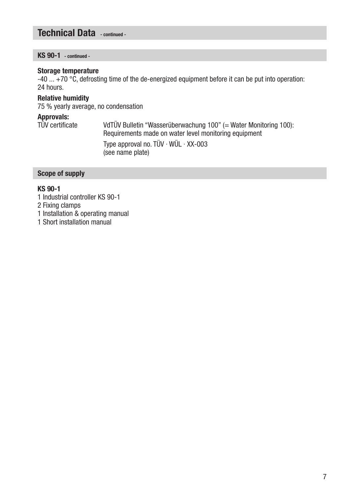# Technical Data - continued -

KS 90-1 - continued -

#### Storage temperature

-40  $\dots$  +70 °C, defrosting time of the de-energized equipment before it can be put into operation: 24 hours.

#### Relative humidity

75 % yearly average, no condensation

**Approvals:**<br>TÜV certificate VdTÜV Bulletin "Wasserüberwachung 100" (= Water Monitoring 100): Requirements made on water level monitoring equipment Type approval no. TÜV · WÜL · XX-003 (see name plate)

#### Scope of supply

#### KS 90-1

- 1 Industrial controller KS 90-1
- 2 Fixing clamps
- 1 Installation & operating manual
- 1 Short installation manual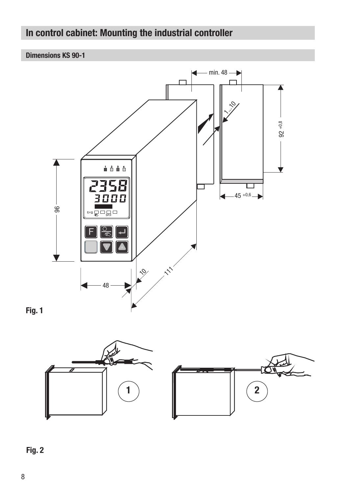# In control cabinet: Mounting the industrial controller

#### Dimensions KS 90-1







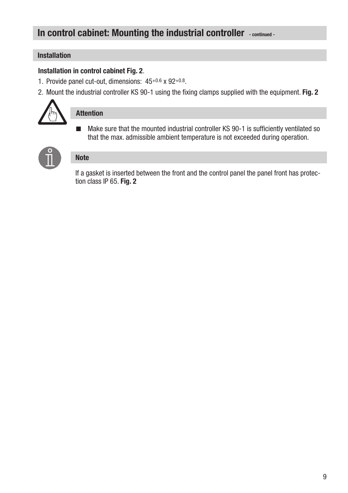# In control cabinet: Mounting the industrial controller - continued -

#### Installation

#### Installation in control cabinet Fig. 2.

- 1. Provide panel cut-out, dimensions: 45+0.6 x 92+0.8.
- 2. Mount the industrial controller KS 90-1 using the fixing clamps supplied with the equipment. Fig. 2



### Attention

■ Make sure that the mounted industrial controller KS 90-1 is sufficiently ventilated so that the max. admissible ambient temperature is not exceeded during operation.



#### **Note**

If a gasket is inserted between the front and the control panel the panel front has protection class IP 65. Fig. 2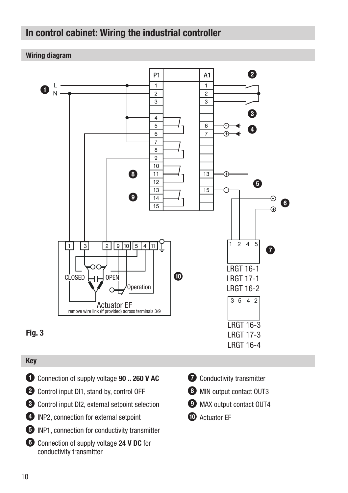# In control cabinet: Wiring the industrial controller

#### Wiring diagram



#### Key

- **1** Connection of supply voltage **90 .. 260 V AC**
- **2** Control input DI1, stand by, control OFF
- 3 Control input DI2, external setpoint selection
- 4 INP2, connection for external setpoint
- 5 INP1, connection for conductivity transmitter
- 6 Connection of supply voltage 24 V DC for conductivity transmitter
- **2** Conductivity transmitter
- **8** MIN output contact OUT3
- <sup>9</sup> MAX output contact OUT4
- **10** Actuator FF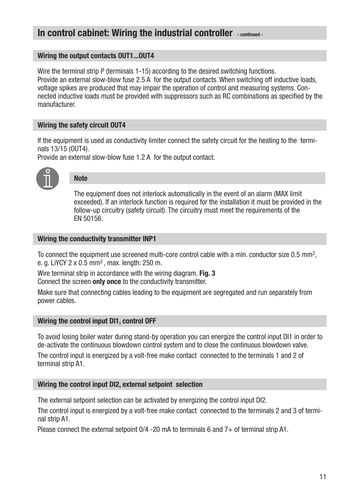# In control cabinet: Wiring the industrial controller - continued -

#### Wiring the output contacts OUT1...OUT4

Wire the terminal strip P (terminals 1-15) according to the desired switching functions. Provide an external slow-blow fuse 2.5 A for the output contacts. When switching off inductive loads, voltage spikes are produced that may impair the operation of control and measuring systems. Connected inductive loads must be provided with suppressors such as RC combinations as specified by the manufacturer.

#### Wiring the safety circuit OUT4

If the equipment is used as conductivity limiter connect the safety circuit for the heating to the terminals 13/15 (OUT4).

Provide an external slow-blow fuse 1.2 A for the output contact.



### **Note**

The equipment does not interlock automatically in the event of an alarm (MAX limit exceeded). If an interlock function is required for the installation it must be provided in the follow-up circuitry (safety circuit). The circuitry must meet the requirements of the EN 50156.

#### Wiring the conductivity transmitter INP1

To connect the equipment use screened multi-core control cable with a min. conductor size 0.5 mm<sup>2</sup>. e. g. LiYCY 2 x 0.5 mm2 , max. length: 250 m.

Wire terminal strip in accordance with the wiring diagram. Fig. 3 Connect the screen only once to the conductivity transmitter.

Make sure that connecting cables leading to the equipment are segregated and run separately from power cables.

#### Wiring the control input DI1, control OFF

To avoid losing boiler water during stand-by operation you can energize the control input DI1 in order to de-activate the continuous blowdown control system and to close the continuous blowdown valve.

The control input is energized by a volt-free make contact connected to the terminals 1 and 2 of terminal strip A1.

#### Wiring the control input DI2, external setpoint selection

The external setpoint selection can be activated by energizing the control input DI2.

The control input is energized by a volt-free make contact connected to the terminals 2 and 3 of terminal strip A1.

Please connect the external setpoint 0/4 -20 mA to terminals 6 and 7+ of terminal strip A1.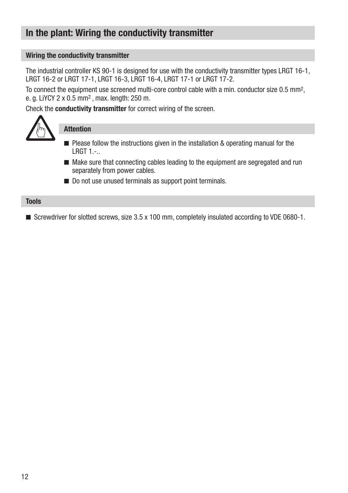# In the plant: Wiring the conductivity transmitter

#### Wiring the conductivity transmitter

The industrial controller KS 90-1 is designed for use with the conductivity transmitter types LRGT 16-1, LRGT 16-2 or LRGT 17-1, LRGT 16-3, LRGT 16-4, LRGT 17-1 or LRGT 17-2.

To connect the equipment use screened multi-core control cable with a min. conductor size 0.5 mm<sup>2</sup>, e. g. LiYCY 2 x 0.5 mm2 , max. length: 250 m.

Check the conductivity transmitter for correct wiring of the screen.



#### Attention

- $\blacksquare$  Please follow the instructions given in the installation & operating manual for the LRGT 1.-..
- $\blacksquare$  Make sure that connecting cables leading to the equipment are segregated and run separately from power cables.
- Do not use unused terminals as support point terminals.

#### **Tools**

■ Screwdriver for slotted screws, size 3.5 x 100 mm, completely insulated according to VDE 0680-1.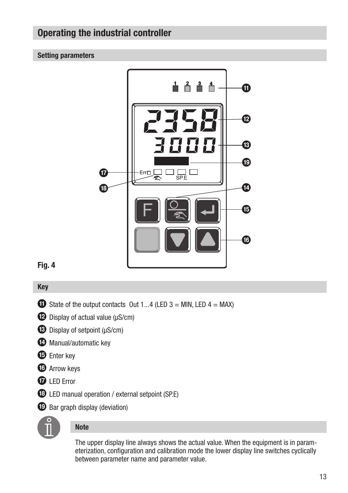# Operating the industrial controller

#### Setting parameters



### Fig. 4

#### Key

- $\bullet$  State of the output contacts Out 1...4 (LED 3 = MIN, LED 4 = MAX)
- $\bullet$  Display of actual value ( $\mu$ S/cm)
- $\bullet$  Display of setpoint ( $\mu$ S/cm)
- **d** Manual/automatic key
- **E** Enter key
- *f* Arrow keys
- *D* LED Error
- **13** LED manual operation / external setpoint (SP.E)
- **i** Bar graph display (deviation)



#### Note

The upper display line always shows the actual value. When the equipment is in parameterization, configuration and calibration mode the lower display line switches cyclically between parameter name and parameter value.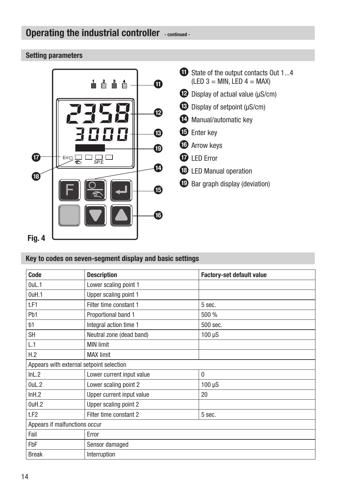# Operating the industrial controller - continued -

#### Setting parameters



#### Key to codes on seven-segment display and basic settings

| Code                                     | <b>Description</b>        | <b>Factory-set default value</b> |  |  |
|------------------------------------------|---------------------------|----------------------------------|--|--|
| $0$ uL.1                                 | Lower scaling point 1     |                                  |  |  |
| 0uH.1                                    | Upper scaling point 1     |                                  |  |  |
| t.F1                                     | Filter time constant 1    | 5 sec.                           |  |  |
| P <sub>b</sub> 1                         | Proportional band 1       | 500 %                            |  |  |
| ti1                                      | Integral action time 1    | 500 sec.                         |  |  |
| <b>SH</b>                                | Neutral zone (dead band)  | $100 \mu S$                      |  |  |
| L.1                                      | <b>MIN limit</b>          |                                  |  |  |
| H.2                                      | <b>MAX</b> limit          |                                  |  |  |
| Appears with external setpoint selection |                           |                                  |  |  |
| InL.2                                    | Lower current input value | 0                                |  |  |
| 0uL.2                                    | Lower scaling point 2     | $100 \mu S$                      |  |  |
| InH.2                                    | Upper current input value | 20                               |  |  |
| 0uH.2                                    | Upper scaling point 2     |                                  |  |  |
| t.F <sub>2</sub>                         | Filter time constant 2    | 5 sec.                           |  |  |
| Appears if malfunctions occur            |                           |                                  |  |  |
| Fail                                     | Error                     |                                  |  |  |
| FbF                                      | Sensor damaged            |                                  |  |  |
| <b>Break</b>                             | Interruption              |                                  |  |  |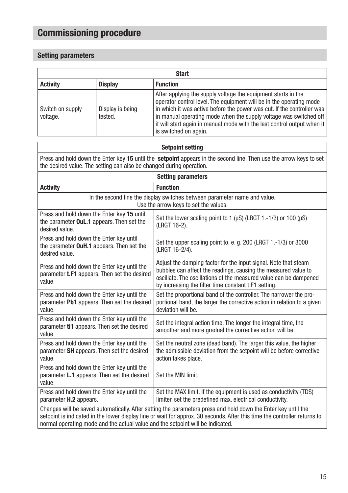# Commissioning procedure

#### Setting parameters

| <b>Start</b>                                         |                             |                                                                                                                                                                                                                                                                                                                                                                                         |  |
|------------------------------------------------------|-----------------------------|-----------------------------------------------------------------------------------------------------------------------------------------------------------------------------------------------------------------------------------------------------------------------------------------------------------------------------------------------------------------------------------------|--|
| <b>Activity</b><br><b>Display</b><br><b>Function</b> |                             |                                                                                                                                                                                                                                                                                                                                                                                         |  |
| Switch on supply<br>voltage.                         | Display is being<br>tested. | After applying the supply voltage the equipment starts in the<br>operator control level. The equipment will be in the operating mode<br>in which it was active before the power was cut. If the controller was<br>in manual operating mode when the supply voltage was switched off<br>it will start again in manual mode with the last control output when it<br>is switched on again. |  |

#### Setpoint setting

Press and hold down the Enter key 15 until the setpoint appears in the second line. Then use the arrow keys to set the desired value. The setting can also be changed during operation.

| <b>Setting parameters</b>                                                                                                                                                                                                                                                                                                    |                                                                                                                                                                                                                                                                |  |
|------------------------------------------------------------------------------------------------------------------------------------------------------------------------------------------------------------------------------------------------------------------------------------------------------------------------------|----------------------------------------------------------------------------------------------------------------------------------------------------------------------------------------------------------------------------------------------------------------|--|
| <b>Activity</b>                                                                                                                                                                                                                                                                                                              | <b>Function</b>                                                                                                                                                                                                                                                |  |
| In the second line the display switches between parameter name and value.<br>Use the arrow keys to set the values.                                                                                                                                                                                                           |                                                                                                                                                                                                                                                                |  |
| Press and hold down the Enter key 15 until<br>the parameter OuL.1 appears. Then set the<br>desired value.                                                                                                                                                                                                                    | Set the lower scaling point to 1 ( $\mu$ S) (LRGT 1.-1/3) or 100 ( $\mu$ S)<br>(LRGT 16-2).                                                                                                                                                                    |  |
| Press and hold down the Enter key until<br>the parameter OuH.1 appears. Then set the<br>desired value.                                                                                                                                                                                                                       | Set the upper scaling point to, e. g. 200 (LRGT 1.-1/3) or 3000<br>(LRGT 16-2/4).                                                                                                                                                                              |  |
| Press and hold down the Enter key until the<br>parameter <b>t.F1</b> appears. Then set the desired<br>value.                                                                                                                                                                                                                 | Adjust the damping factor for the input signal. Note that steam<br>bubbles can affect the readings, causing the measured value to<br>oscillate. The oscillations of the measured value can be dampened<br>by increasing the filter time constant t.F1 setting. |  |
| Press and hold down the Enter key until the<br>parameter Pb1 appears. Then set the desired<br>value.                                                                                                                                                                                                                         | Set the proportional band of the controller. The narrower the pro-<br>portional band, the larger the corrective action in relation to a given<br>deviation will be.                                                                                            |  |
| Press and hold down the Enter key until the<br>parameter ti1 appears. Then set the desired<br>value.                                                                                                                                                                                                                         | Set the integral action time. The longer the integral time, the<br>smoother and more gradual the corrective action will be.                                                                                                                                    |  |
| Press and hold down the Enter key until the<br>parameter SH appears. Then set the desired<br>value.                                                                                                                                                                                                                          | Set the neutral zone (dead band). The larger this value, the higher<br>the admissible deviation from the setpoint will be before corrective<br>action takes place.                                                                                             |  |
| Press and hold down the Enter key until the<br>parameter L.1 appears. Then set the desired<br>value.                                                                                                                                                                                                                         | Set the MIN limit.                                                                                                                                                                                                                                             |  |
| Press and hold down the Enter key until the<br>parameter H.2 appears.                                                                                                                                                                                                                                                        | Set the MAX limit. If the equipment is used as conductivity (TDS)<br>limiter, set the predefined max. electrical conductivity.                                                                                                                                 |  |
| Changes will be saved automatically. After setting the parameters press and hold down the Enter key until the<br>setpoint is indicated in the lower display line or wait for approx. 30 seconds. After this time the controller returns to<br>normal operating mode and the actual value and the setpoint will be indicated. |                                                                                                                                                                                                                                                                |  |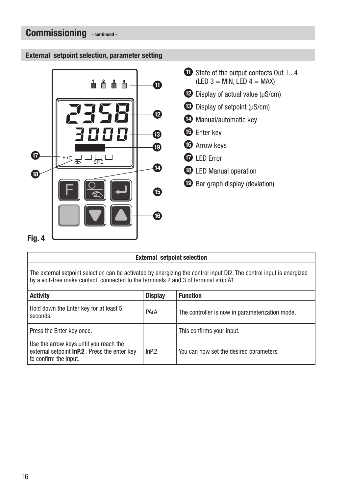# Commissioning - continued -

#### External setpoint selection, parameter setting



| <b>External setpoint selection</b>                                                                                                                                                                           |                |                                                 |  |
|--------------------------------------------------------------------------------------------------------------------------------------------------------------------------------------------------------------|----------------|-------------------------------------------------|--|
| The external setpoint selection can be activated by energizing the control input DI2. The control input is energized<br>by a volt-free make contact connected to the terminals 2 and 3 of terminal strip A1. |                |                                                 |  |
| <b>Activity</b>                                                                                                                                                                                              | <b>Display</b> | <b>Function</b>                                 |  |
| Hold down the Enter key for at least 5<br>seconds.                                                                                                                                                           | PArA           | The controller is now in parameterization mode. |  |
| Press the Enter key once.                                                                                                                                                                                    |                | This confirms your input.                       |  |
| Use the arrow keys until you reach the<br>external setpoint InP.2. Press the enter key<br>to confirm the input.                                                                                              | InP.2          | You can now set the desired parameters.         |  |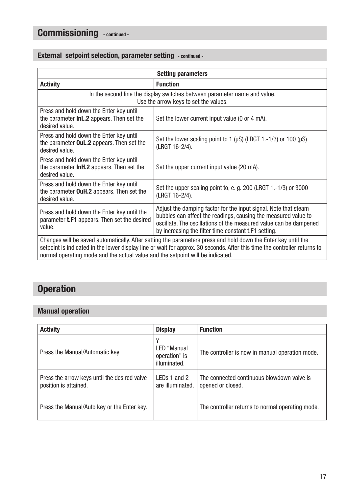# Commissioning - continued -

#### External setpoint selection, parameter setting - continued -

| <b>Setting parameters</b>                                                                                                                                                                                                                  |                                                                                                                                                                                                                                                                |  |
|--------------------------------------------------------------------------------------------------------------------------------------------------------------------------------------------------------------------------------------------|----------------------------------------------------------------------------------------------------------------------------------------------------------------------------------------------------------------------------------------------------------------|--|
| <b>Activity</b>                                                                                                                                                                                                                            | <b>Function</b>                                                                                                                                                                                                                                                |  |
| In the second line the display switches between parameter name and value.<br>Use the arrow keys to set the values.                                                                                                                         |                                                                                                                                                                                                                                                                |  |
| Press and hold down the Enter key until<br>the parameter <b>InL.2</b> appears. Then set the<br>desired value.                                                                                                                              | Set the lower current input value (0 or 4 mA).                                                                                                                                                                                                                 |  |
| Press and hold down the Enter key until<br>the parameter <b>OuL.2</b> appears. Then set the<br>desired value.                                                                                                                              | Set the lower scaling point to 1 ( $\mu$ S) (LRGT 1.-1/3) or 100 ( $\mu$ S)<br>(LRGT 16-2/4).                                                                                                                                                                  |  |
| Press and hold down the Enter key until<br>the parameter <b>InH.2</b> appears. Then set the<br>desired value.                                                                                                                              | Set the upper current input value (20 mA).                                                                                                                                                                                                                     |  |
| Press and hold down the Enter key until<br>the parameter <b>OuH.2</b> appears. Then set the<br>desired value.                                                                                                                              | Set the upper scaling point to, e. g. 200 (LRGT $1.-1/3$ ) or 3000<br>(LRGT 16-2/4).                                                                                                                                                                           |  |
| Press and hold down the Enter key until the<br>parameter <b>t.F1</b> appears. Then set the desired<br>value.                                                                                                                               | Adjust the damping factor for the input signal. Note that steam<br>bubbles can affect the readings, causing the measured value to<br>oscillate. The oscillations of the measured value can be dampened<br>by increasing the filter time constant t.F1 setting. |  |
| Changes will be saved automatically. After setting the parameters press and hold down the Enter key until the<br>setpoint is indicated in the lower display line or wait for approx. 30 seconds. After this time the controller returns to |                                                                                                                                                                                                                                                                |  |

setpoint is indicated in the lower display line or wait for approx. 30 seconds. After this time the controller returns to normal operating mode and the actual value and the setpoint will be indicated.

# **Operation**

#### Manual operation

| <b>Activity</b>                                                       | <b>Display</b>                               | <b>Function</b>                                                 |
|-----------------------------------------------------------------------|----------------------------------------------|-----------------------------------------------------------------|
| Press the Manual/Automatic key                                        | LED "Manual<br>operation" is<br>illuminated. | The controller is now in manual operation mode.                 |
| Press the arrow keys until the desired valve<br>position is attained. | LEDs 1 and 2<br>are illuminated.             | The connected continuous blowdown valve is<br>opened or closed. |
| Press the Manual/Auto key or the Enter key.                           |                                              | The controller returns to normal operating mode.                |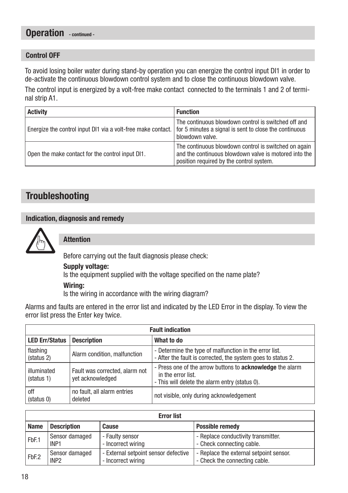# Operation - continued -

#### Control OFF

To avoid losing boiler water during stand-by operation you can energize the control input DI1 in order to de-activate the continuous blowdown control system and to close the continuous blowdown valve.

The control input is energized by a volt-free make contact connected to the terminals 1 and 2 of terminal strip A1.

| <b>Activity</b>                                              | <b>Function</b>                                                                                                                                           |
|--------------------------------------------------------------|-----------------------------------------------------------------------------------------------------------------------------------------------------------|
| Energize the control input DI1 via a volt-free make contact. | The continuous blowdown control is switched off and<br>for 5 minutes a signal is sent to close the continuous<br>blowdown valve.                          |
| Open the make contact for the control input DI1.             | The continuous blowdown control is switched on again<br>and the continuous blowdown valve is motored into the<br>position required by the control system. |

# **Troubleshooting**

#### Indication, diagnosis and remedy



Attention

Before carrying out the fault diagnosis please check:

#### Supply voltage:

Is the equipment supplied with the voltage specified on the name plate?

#### Wiring:

Is the wiring in accordance with the wiring diagram?

Alarms and faults are entered in the error list and indicated by the LED Error in the display. To view the error list press the Enter key twice.

| <b>Fault indication</b>   |                                                    |                                                                                                                                          |  |
|---------------------------|----------------------------------------------------|------------------------------------------------------------------------------------------------------------------------------------------|--|
| <b>LED Err/Status</b>     | <b>Description</b>                                 | What to do                                                                                                                               |  |
| flashing<br>(status 2)    | Alarm condition, malfunction                       | - Determine the type of malfunction in the error list.<br>- After the fault is corrected, the system goes to status 2.                   |  |
| illuminated<br>(status 1) | Fault was corrected, alarm not<br>vet acknowledged | - Press one of the arrow buttons to <b>acknowledge</b> the alarm<br>in the error list.<br>- This will delete the alarm entry (status 0). |  |
| off<br>(status 0)         | no fault, all alarm entries<br>deleted             | not visible, only during acknowledgement                                                                                                 |  |

| <b>Error list</b> |                    |                                      |                                         |
|-------------------|--------------------|--------------------------------------|-----------------------------------------|
| <b>Name</b>       | <b>Description</b> | Cause                                | <b>Possible remedy</b>                  |
| FbF.1             | Sensor damaged     | - Faulty sensor                      | - Replace conductivity transmitter.     |
|                   | INP <sub>1</sub>   | - Incorrect wiring                   | - Check connecting cable.               |
| FbF.2             | Sensor damaged     | - External setpoint sensor defective | - Replace the external setpoint sensor. |
|                   | INP <sub>2</sub>   | - Incorrect wiring                   | - Check the connecting cable.           |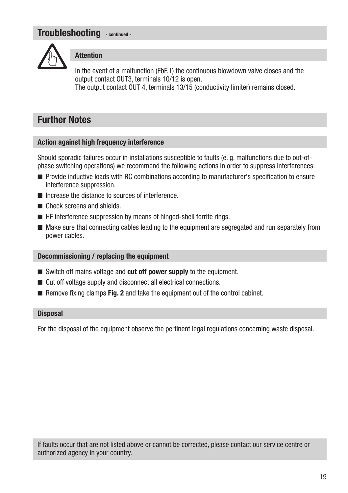# Troubleshooting - continued -



#### **Attention**

In the event of a malfunction (FbF.1) the continuous blowdown valve closes and the output contact OUT3, terminals 10/12 is open. The output contact OUT 4, terminals 13/15 (conductivity limiter) remains closed.

# Further Notes

#### Action against high frequency interference

Should sporadic failures occur in installations susceptible to faults (e. g. malfunctions due to out-ofphase switching operations) we recommend the following actions in order to suppress interferences:

- n Provide inductive loads with RC combinations according to manufacturer's specification to ensure interference suppression.
- Increase the distance to sources of interference
- $\blacksquare$  Check screens and shields.
- $\blacksquare$  HF interference suppression by means of hinged-shell ferrite rings.
- $\blacksquare$  Make sure that connecting cables leading to the equipment are segregated and run separately from power cables.

#### Decommissioning / replacing the equipment

- $\blacksquare$  Switch off mains voltage and cut off power supply to the equipment.
- $\blacksquare$  Cut off voltage supply and disconnect all electrical connections.
- $\blacksquare$  Remove fixing clamps Fig. 2 and take the equipment out of the control cabinet.

#### **Disposal**

For the disposal of the equipment observe the pertinent legal regulations concerning waste disposal.

If faults occur that are not listed above or cannot be corrected, please contact our service centre or authorized agency in your country.